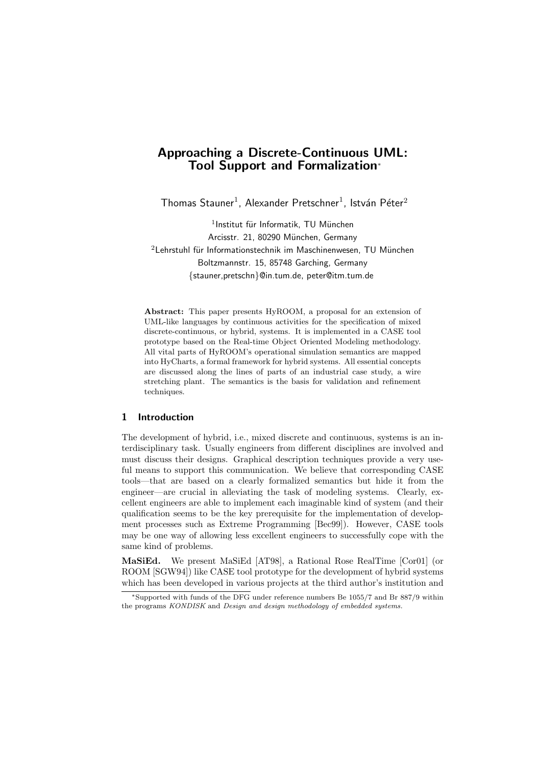# Approaching a Discrete-Continuous UML: Tool Support and Formalization<sup>∗</sup>

Thomas Stauner $^1$ , Alexander Pretschner $^1$ , István Péter $^2$ 

 $<sup>1</sup>$ Institut für Informatik, TU München</sup> Arcisstr. 21, 80290 München, Germany  $2$ Lehrstuhl für Informationstechnik im Maschinenwesen, TU München Boltzmannstr. 15, 85748 Garching, Germany {stauner,pretschn}@in.tum.de, peter@itm.tum.de

Abstract: This paper presents HyROOM, a proposal for an extension of UML-like languages by continuous activities for the specification of mixed discrete-continuous, or hybrid, systems. It is implemented in a CASE tool prototype based on the Real-time Object Oriented Modeling methodology. All vital parts of HyROOM's operational simulation semantics are mapped into HyCharts, a formal framework for hybrid systems. All essential concepts are discussed along the lines of parts of an industrial case study, a wire stretching plant. The semantics is the basis for validation and refinement techniques.

#### 1 Introduction

The development of hybrid, i.e., mixed discrete and continuous, systems is an interdisciplinary task. Usually engineers from different disciplines are involved and must discuss their designs. Graphical description techniques provide a very useful means to support this communication. We believe that corresponding CASE tools—that are based on a clearly formalized semantics but hide it from the engineer—are crucial in alleviating the task of modeling systems. Clearly, excellent engineers are able to implement each imaginable kind of system (and their qualification seems to be the key prerequisite for the implementation of development processes such as Extreme Programming [Bec99]). However, CASE tools may be one way of allowing less excellent engineers to successfully cope with the same kind of problems.

MaSiEd. We present MaSiEd [AT98], a Rational Rose RealTime [Cor01] (or ROOM [SGW94]) like CASE tool prototype for the development of hybrid systems which has been developed in various projects at the third author's institution and

<sup>∗</sup>Supported with funds of the DFG under reference numbers Be 1055/7 and Br 887/9 within the programs KONDISK and Design and design methodology of embedded systems.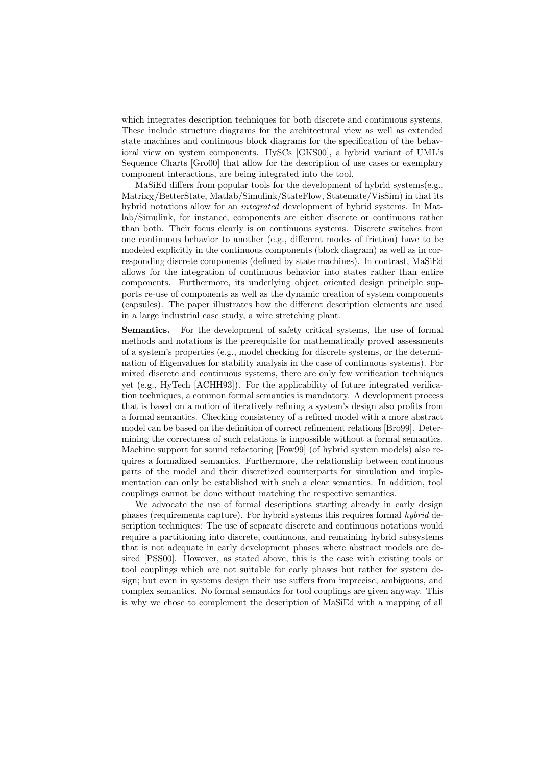which integrates description techniques for both discrete and continuous systems. These include structure diagrams for the architectural view as well as extended state machines and continuous block diagrams for the specification of the behavioral view on system components. HySCs [GKS00], a hybrid variant of UML's Sequence Charts [Gro00] that allow for the description of use cases or exemplary component interactions, are being integrated into the tool.

MaSiEd differs from popular tools for the development of hybrid systems(e.g., Matrix<sub>X</sub>/BetterState, Matlab/Simulink/StateFlow, Statemate/VisSim) in that its hybrid notations allow for an *integrated* development of hybrid systems. In Matlab/Simulink, for instance, components are either discrete or continuous rather than both. Their focus clearly is on continuous systems. Discrete switches from one continuous behavior to another (e.g., different modes of friction) have to be modeled explicitly in the continuous components (block diagram) as well as in corresponding discrete components (defined by state machines). In contrast, MaSiEd allows for the integration of continuous behavior into states rather than entire components. Furthermore, its underlying object oriented design principle supports re-use of components as well as the dynamic creation of system components (capsules). The paper illustrates how the different description elements are used in a large industrial case study, a wire stretching plant.

Semantics. For the development of safety critical systems, the use of formal methods and notations is the prerequisite for mathematically proved assessments of a system's properties (e.g., model checking for discrete systems, or the determination of Eigenvalues for stability analysis in the case of continuous systems). For mixed discrete and continuous systems, there are only few verification techniques yet (e.g., HyTech [ACHH93]). For the applicability of future integrated verification techniques, a common formal semantics is mandatory. A development process that is based on a notion of iteratively refining a system's design also profits from a formal semantics. Checking consistency of a refined model with a more abstract model can be based on the definition of correct refinement relations [Bro99]. Determining the correctness of such relations is impossible without a formal semantics. Machine support for sound refactoring [Fow99] (of hybrid system models) also requires a formalized semantics. Furthermore, the relationship between continuous parts of the model and their discretized counterparts for simulation and implementation can only be established with such a clear semantics. In addition, tool couplings cannot be done without matching the respective semantics.

We advocate the use of formal descriptions starting already in early design phases (requirements capture). For hybrid systems this requires formal hybrid description techniques: The use of separate discrete and continuous notations would require a partitioning into discrete, continuous, and remaining hybrid subsystems that is not adequate in early development phases where abstract models are desired [PSS00]. However, as stated above, this is the case with existing tools or tool couplings which are not suitable for early phases but rather for system design; but even in systems design their use suffers from imprecise, ambiguous, and complex semantics. No formal semantics for tool couplings are given anyway. This is why we chose to complement the description of MaSiEd with a mapping of all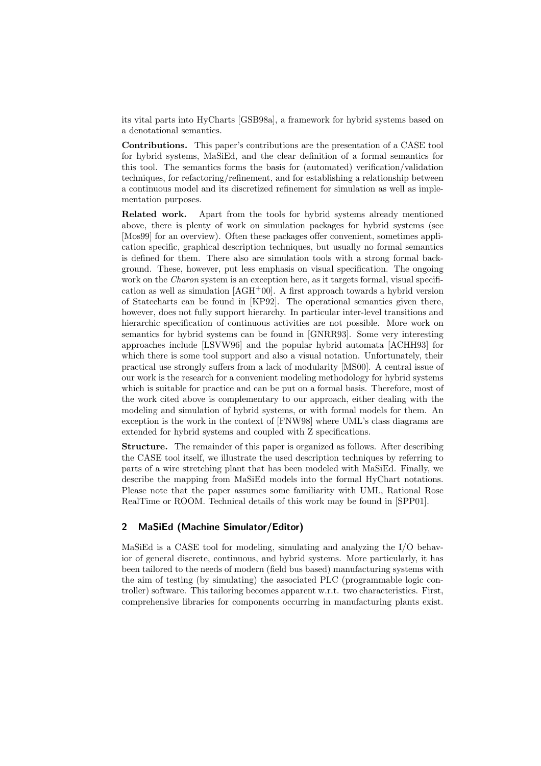its vital parts into HyCharts [GSB98a], a framework for hybrid systems based on a denotational semantics.

Contributions. This paper's contributions are the presentation of a CASE tool for hybrid systems, MaSiEd, and the clear definition of a formal semantics for this tool. The semantics forms the basis for (automated) verification/validation techniques, for refactoring/refinement, and for establishing a relationship between a continuous model and its discretized refinement for simulation as well as implementation purposes.

Related work. Apart from the tools for hybrid systems already mentioned above, there is plenty of work on simulation packages for hybrid systems (see [Mos99] for an overview). Often these packages offer convenient, sometimes application specific, graphical description techniques, but usually no formal semantics is defined for them. There also are simulation tools with a strong formal background. These, however, put less emphasis on visual specification. The ongoing work on the Charon system is an exception here, as it targets formal, visual specification as well as simulation  $[AGH^+00]$ . A first approach towards a hybrid version of Statecharts can be found in [KP92]. The operational semantics given there, however, does not fully support hierarchy. In particular inter-level transitions and hierarchic specification of continuous activities are not possible. More work on semantics for hybrid systems can be found in [GNRR93]. Some very interesting approaches include [LSVW96] and the popular hybrid automata [ACHH93] for which there is some tool support and also a visual notation. Unfortunately, their practical use strongly suffers from a lack of modularity [MS00]. A central issue of our work is the research for a convenient modeling methodology for hybrid systems which is suitable for practice and can be put on a formal basis. Therefore, most of the work cited above is complementary to our approach, either dealing with the modeling and simulation of hybrid systems, or with formal models for them. An exception is the work in the context of [FNW98] where UML's class diagrams are extended for hybrid systems and coupled with Z specifications.

Structure. The remainder of this paper is organized as follows. After describing the CASE tool itself, we illustrate the used description techniques by referring to parts of a wire stretching plant that has been modeled with MaSiEd. Finally, we describe the mapping from MaSiEd models into the formal HyChart notations. Please note that the paper assumes some familiarity with UML, Rational Rose RealTime or ROOM. Technical details of this work may be found in [SPP01].

#### 2 MaSiEd (Machine Simulator/Editor)

MaSiEd is a CASE tool for modeling, simulating and analyzing the I/O behavior of general discrete, continuous, and hybrid systems. More particularly, it has been tailored to the needs of modern (field bus based) manufacturing systems with the aim of testing (by simulating) the associated PLC (programmable logic controller) software. This tailoring becomes apparent w.r.t. two characteristics. First, comprehensive libraries for components occurring in manufacturing plants exist.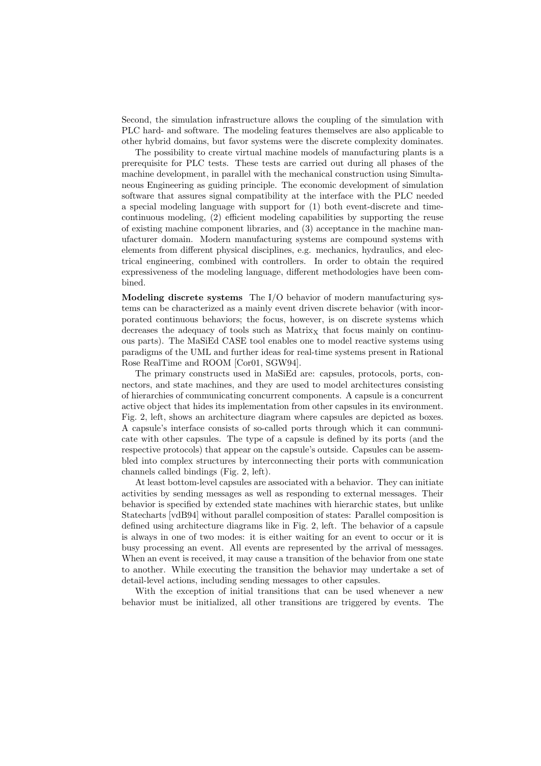Second, the simulation infrastructure allows the coupling of the simulation with PLC hard- and software. The modeling features themselves are also applicable to other hybrid domains, but favor systems were the discrete complexity dominates.

The possibility to create virtual machine models of manufacturing plants is a prerequisite for PLC tests. These tests are carried out during all phases of the machine development, in parallel with the mechanical construction using Simultaneous Engineering as guiding principle. The economic development of simulation software that assures signal compatibility at the interface with the PLC needed a special modeling language with support for (1) both event-discrete and timecontinuous modeling, (2) efficient modeling capabilities by supporting the reuse of existing machine component libraries, and (3) acceptance in the machine manufacturer domain. Modern manufacturing systems are compound systems with elements from different physical disciplines, e.g. mechanics, hydraulics, and electrical engineering, combined with controllers. In order to obtain the required expressiveness of the modeling language, different methodologies have been combined.

Modeling discrete systems The I/O behavior of modern manufacturing systems can be characterized as a mainly event driven discrete behavior (with incorporated continuous behaviors; the focus, however, is on discrete systems which decreases the adequacy of tools such as  $Matrix<sub>X</sub>$  that focus mainly on continuous parts). The MaSiEd CASE tool enables one to model reactive systems using paradigms of the UML and further ideas for real-time systems present in Rational Rose RealTime and ROOM [Cor01, SGW94].

The primary constructs used in MaSiEd are: capsules, protocols, ports, connectors, and state machines, and they are used to model architectures consisting of hierarchies of communicating concurrent components. A capsule is a concurrent active object that hides its implementation from other capsules in its environment. Fig. 2, left, shows an architecture diagram where capsules are depicted as boxes. A capsule's interface consists of so-called ports through which it can communicate with other capsules. The type of a capsule is defined by its ports (and the respective protocols) that appear on the capsule's outside. Capsules can be assembled into complex structures by interconnecting their ports with communication channels called bindings (Fig. 2, left).

At least bottom-level capsules are associated with a behavior. They can initiate activities by sending messages as well as responding to external messages. Their behavior is specified by extended state machines with hierarchic states, but unlike Statecharts [vdB94] without parallel composition of states: Parallel composition is defined using architecture diagrams like in Fig. 2, left. The behavior of a capsule is always in one of two modes: it is either waiting for an event to occur or it is busy processing an event. All events are represented by the arrival of messages. When an event is received, it may cause a transition of the behavior from one state to another. While executing the transition the behavior may undertake a set of detail-level actions, including sending messages to other capsules.

With the exception of initial transitions that can be used whenever a new behavior must be initialized, all other transitions are triggered by events. The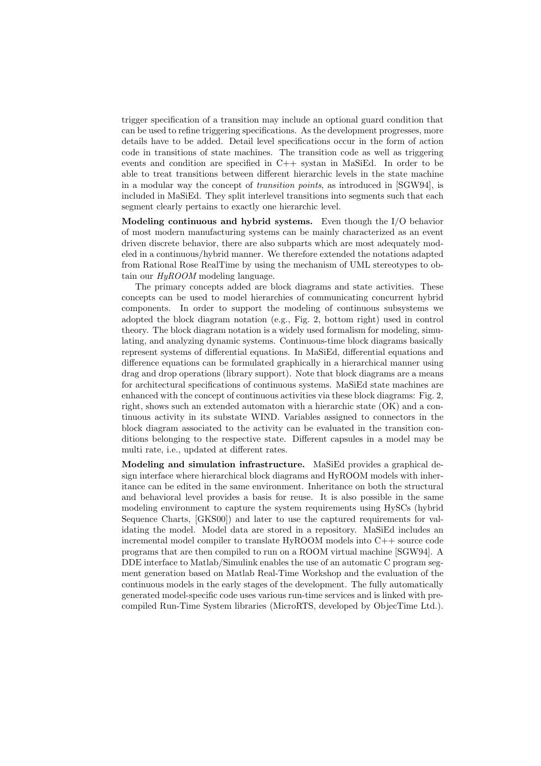trigger specification of a transition may include an optional guard condition that can be used to refine triggering specifications. As the development progresses, more details have to be added. Detail level specifications occur in the form of action code in transitions of state machines. The transition code as well as triggering events and condition are specified in C++ systan in MaSiEd. In order to be able to treat transitions between different hierarchic levels in the state machine in a modular way the concept of transition points, as introduced in [SGW94], is included in MaSiEd. They split interlevel transitions into segments such that each segment clearly pertains to exactly one hierarchic level.

Modeling continuous and hybrid systems. Even though the I/O behavior of most modern manufacturing systems can be mainly characterized as an event driven discrete behavior, there are also subparts which are most adequately modeled in a continuous/hybrid manner. We therefore extended the notations adapted from Rational Rose RealTime by using the mechanism of UML stereotypes to obtain our  $Hu$ ROOM modeling language.

The primary concepts added are block diagrams and state activities. These concepts can be used to model hierarchies of communicating concurrent hybrid components. In order to support the modeling of continuous subsystems we adopted the block diagram notation (e.g., Fig. 2, bottom right) used in control theory. The block diagram notation is a widely used formalism for modeling, simulating, and analyzing dynamic systems. Continuous-time block diagrams basically represent systems of differential equations. In MaSiEd, differential equations and difference equations can be formulated graphically in a hierarchical manner using drag and drop operations (library support). Note that block diagrams are a means for architectural specifications of continuous systems. MaSiEd state machines are enhanced with the concept of continuous activities via these block diagrams: Fig. 2, right, shows such an extended automaton with a hierarchic state (OK) and a continuous activity in its substate WIND. Variables assigned to connectors in the block diagram associated to the activity can be evaluated in the transition conditions belonging to the respective state. Different capsules in a model may be multi rate, i.e., updated at different rates.

Modeling and simulation infrastructure. MaSiEd provides a graphical design interface where hierarchical block diagrams and HyROOM models with inheritance can be edited in the same environment. Inheritance on both the structural and behavioral level provides a basis for reuse. It is also possible in the same modeling environment to capture the system requirements using HySCs (hybrid Sequence Charts, [GKS00]) and later to use the captured requirements for validating the model. Model data are stored in a repository. MaSiEd includes an incremental model compiler to translate HyROOM models into C++ source code programs that are then compiled to run on a ROOM virtual machine [SGW94]. A DDE interface to Matlab/Simulink enables the use of an automatic C program segment generation based on Matlab Real-Time Workshop and the evaluation of the continuous models in the early stages of the development. The fully automatically generated model-specific code uses various run-time services and is linked with precompiled Run-Time System libraries (MicroRTS, developed by ObjecTime Ltd.).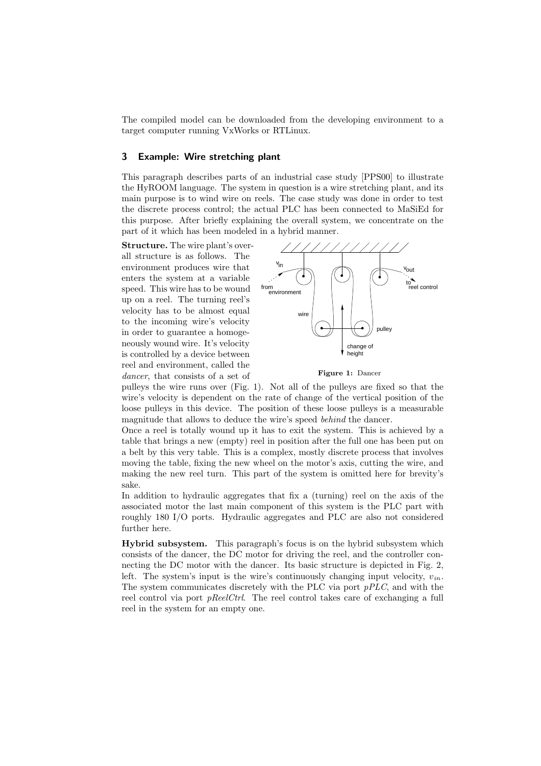The compiled model can be downloaded from the developing environment to a target computer running VxWorks or RTLinux.

## 3 Example: Wire stretching plant

This paragraph describes parts of an industrial case study [PPS00] to illustrate the HyROOM language. The system in question is a wire stretching plant, and its main purpose is to wind wire on reels. The case study was done in order to test the discrete process control; the actual PLC has been connected to MaSiEd for this purpose. After briefly explaining the overall system, we concentrate on the part of it which has been modeled in a hybrid manner.

Structure. The wire plant's overall structure is as follows. The environment produces wire that enters the system at a variable speed. This wire has to be wound up on a reel. The turning reel's velocity has to be almost equal to the incoming wire's velocity in order to guarantee a homogeneously wound wire. It's velocity is controlled by a device between reel and environment, called the dancer, that consists of a set of



Figure 1: Dancer

pulleys the wire runs over (Fig. 1). Not all of the pulleys are fixed so that the wire's velocity is dependent on the rate of change of the vertical position of the loose pulleys in this device. The position of these loose pulleys is a measurable magnitude that allows to deduce the wire's speed behind the dancer.

Once a reel is totally wound up it has to exit the system. This is achieved by a table that brings a new (empty) reel in position after the full one has been put on a belt by this very table. This is a complex, mostly discrete process that involves moving the table, fixing the new wheel on the motor's axis, cutting the wire, and making the new reel turn. This part of the system is omitted here for brevity's sake.

In addition to hydraulic aggregates that fix a (turning) reel on the axis of the associated motor the last main component of this system is the PLC part with roughly 180 I/O ports. Hydraulic aggregates and PLC are also not considered further here.

Hybrid subsystem. This paragraph's focus is on the hybrid subsystem which consists of the dancer, the DC motor for driving the reel, and the controller connecting the DC motor with the dancer. Its basic structure is depicted in Fig. 2, left. The system's input is the wire's continuously changing input velocity,  $v_{in}$ . The system communicates discretely with the PLC via port pPLC, and with the reel control via port *pReelCtrl*. The reel control takes care of exchanging a full reel in the system for an empty one.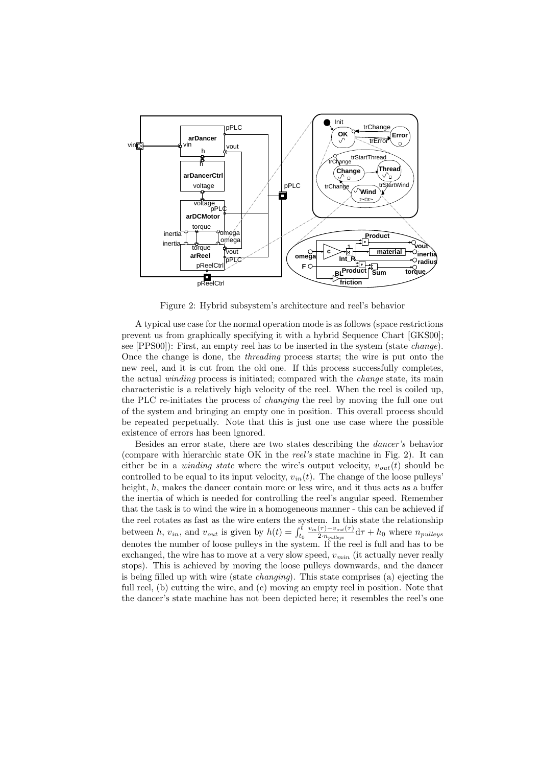

Figure 2: Hybrid subsystem's architecture and reel's behavior

A typical use case for the normal operation mode is as follows (space restrictions prevent us from graphically specifying it with a hybrid Sequence Chart [GKS00]; see [PPS00]): First, an empty reel has to be inserted in the system (state change). Once the change is done, the threading process starts; the wire is put onto the new reel, and it is cut from the old one. If this process successfully completes, the actual winding process is initiated; compared with the change state, its main characteristic is a relatively high velocity of the reel. When the reel is coiled up, the PLC re-initiates the process of changing the reel by moving the full one out of the system and bringing an empty one in position. This overall process should be repeated perpetually. Note that this is just one use case where the possible existence of errors has been ignored.

Besides an error state, there are two states describing the dancer's behavior (compare with hierarchic state OK in the reel's state machine in Fig. 2). It can either be in a *winding state* where the wire's output velocity,  $v_{out}(t)$  should be controlled to be equal to its input velocity,  $v_{in}(t)$ . The change of the loose pulleys' height,  $h$ , makes the dancer contain more or less wire, and it thus acts as a buffer the inertia of which is needed for controlling the reel's angular speed. Remember that the task is to wind the wire in a homogeneous manner - this can be achieved if the reel rotates as fast as the wire enters the system. In this state the relationship between h,  $v_{in}$ , and  $v_{out}$  is given by  $h(t) = \int_{t_0}^{t}$  $v_{in}(\tau)-v_{out}(\tau)$  $\frac{(T)-\nu_{out}(T)}{2\cdot n_{pulleys}}$ d $\tau + h_0$  where  $n_{pulleys}$ denotes the number of loose pulleys in the system. If the reel is full and has to be exchanged, the wire has to move at a very slow speed,  $v_{min}$  (it actually never really stops). This is achieved by moving the loose pulleys downwards, and the dancer is being filled up with wire (state changing). This state comprises (a) ejecting the full reel, (b) cutting the wire, and (c) moving an empty reel in position. Note that the dancer's state machine has not been depicted here; it resembles the reel's one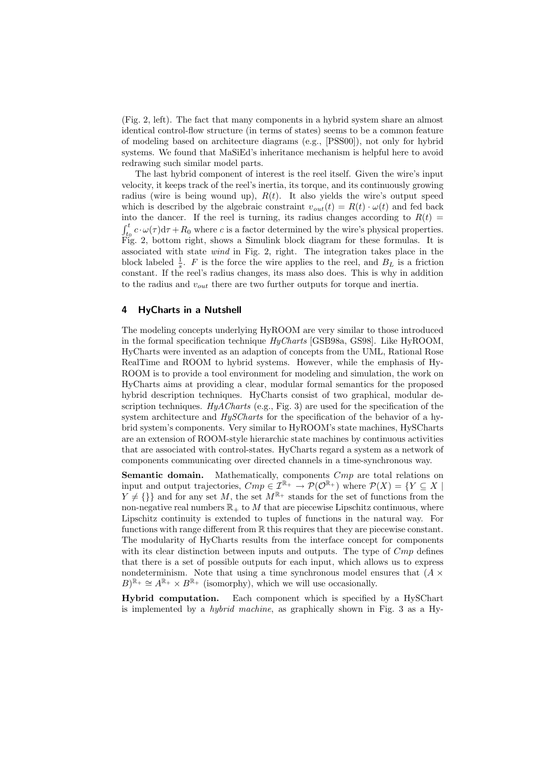(Fig. 2, left). The fact that many components in a hybrid system share an almost identical control-flow structure (in terms of states) seems to be a common feature of modeling based on architecture diagrams (e.g., [PSS00]), not only for hybrid systems. We found that MaSiEd's inheritance mechanism is helpful here to avoid redrawing such similar model parts.

The last hybrid component of interest is the reel itself. Given the wire's input velocity, it keeps track of the reel's inertia, its torque, and its continuously growing radius (wire is being wound up),  $R(t)$ . It also yields the wire's output speed which is described by the algebraic constraint  $v_{out}(t) = R(t) \cdot \omega(t)$  and fed back into the dancer. If the reel is turning, its radius changes according to  $R(t)$  =  $\int_{t_0}^t c \cdot \omega(\tau) d\tau + R_0$  where c is a factor determined by the wire's physical properties. Fig. 2, bottom right, shows a Simulink block diagram for these formulas. It is associated with state wind in Fig. 2, right. The integration takes place in the block labeled  $\frac{1}{s}$ . F is the force the wire applies to the reel, and  $B_L$  is a friction constant. If the reel's radius changes, its mass also does. This is why in addition to the radius and  $v_{out}$  there are two further outputs for torque and inertia.

# 4 HyCharts in a Nutshell

The modeling concepts underlying HyROOM are very similar to those introduced in the formal specification technique  $HyCharts$  [GSB98a, GS98]. Like HyROOM, HyCharts were invented as an adaption of concepts from the UML, Rational Rose RealTime and ROOM to hybrid systems. However, while the emphasis of Hy-ROOM is to provide a tool environment for modeling and simulation, the work on HyCharts aims at providing a clear, modular formal semantics for the proposed hybrid description techniques. HyCharts consist of two graphical, modular description techniques.  $HyACharts$  (e.g., Fig. 3) are used for the specification of the system architecture and  $HySCharts$  for the specification of the behavior of a hybrid system's components. Very similar to HyROOM's state machines, HySCharts are an extension of ROOM-style hierarchic state machines by continuous activities that are associated with control-states. HyCharts regard a system as a network of components communicating over directed channels in a time-synchronous way.

**Semantic domain.** Mathematically, components  $Cmp$  are total relations on input and output trajectories,  $Cmp \in \mathcal{I}^{\mathbb{R}_+} \to \mathcal{P}(\mathcal{O}^{\mathbb{R}_+})$  where  $\mathcal{P}(X) = \{Y \subseteq X \mid$  $Y \neq {\{\}}$  and for any set M, the set  $M^{\mathbb{R}_+}$  stands for the set of functions from the non-negative real numbers  $\mathbb{R}_+$  to M that are piecewise Lipschitz continuous, where Lipschitz continuity is extended to tuples of functions in the natural way. For functions with range different from R this requires that they are piecewise constant. The modularity of HyCharts results from the interface concept for components with its clear distinction between inputs and outputs. The type of  $Cmp$  defines that there is a set of possible outputs for each input, which allows us to express nondeterminism. Note that using a time synchronous model ensures that  $(A \times$  $B^{\mathbb{R}_+} \cong A^{\mathbb{R}_+} \times B^{\mathbb{R}_+}$  (isomorphy), which we will use occasionally.

Hybrid computation. Each component which is specified by a HySChart is implemented by a hybrid machine, as graphically shown in Fig. 3 as a Hy-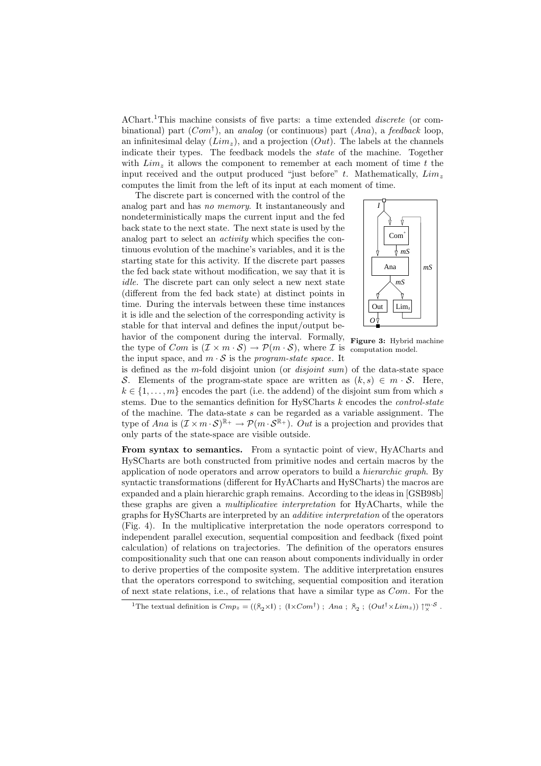AChart.<sup>1</sup>This machine consists of five parts: a time extended *discrete* (or combinational) part  $(Com^{\dagger})$ , an analog (or continuous) part  $(Ana)$ , a feedback loop, an infinitesimal delay  $(Lim_z)$ , and a projection  $(Out)$ . The labels at the channels indicate their types. The feedback models the state of the machine. Together with  $Lim<sub>z</sub>$  it allows the component to remember at each moment of time t the input received and the output produced "just before"  $t$ . Mathematically,  $Lim<sub>z</sub>$ computes the limit from the left of its input at each moment of time.

The discrete part is concerned with the control of the analog part and has no memory. It instantaneously and nondeterministically maps the current input and the fed back state to the next state. The next state is used by the analog part to select an activity which specifies the continuous evolution of the machine's variables, and it is the starting state for this activity. If the discrete part passes the fed back state without modification, we say that it is idle. The discrete part can only select a new next state (different from the fed back state) at distinct points in time. During the intervals between these time instances it is idle and the selection of the corresponding activity is stable for that interval and defines the input/output behavior of the component during the interval. Formally, the type of *Com* is  $(\mathcal{I} \times m \cdot \mathcal{S}) \to \mathcal{P}(m \cdot \mathcal{S})$ , where *I* is the input space, and  $m \cdot S$  is the *program-state space*. It



Figure 3: Hybrid machine computation model.

is defined as the m-fold disjoint union (or *disjoint sum*) of the data-state space S. Elements of the program-state space are written as  $(k, s) \in m \cdot S$ . Here,  $k \in \{1, \ldots, m\}$  encodes the part (i.e. the addend) of the disjoint sum from which s stems. Due to the semantics definition for HySCharts  $k$  encodes the *control-state* of the machine. The data-state s can be regarded as a variable assignment. The type of Ana is  $(\mathcal{I} \times m \cdot \mathcal{S})^{\mathbb{R}_+} \to \mathcal{P}(m \cdot \mathcal{S}^{\mathbb{R}_+})$ . Out is a projection and provides that only parts of the state-space are visible outside.

From syntax to semantics. From a syntactic point of view, HyACharts and HySCharts are both constructed from primitive nodes and certain macros by the application of node operators and arrow operators to build a hierarchic graph. By syntactic transformations (different for HyACharts and HySCharts) the macros are expanded and a plain hierarchic graph remains. According to the ideas in [GSB98b] these graphs are given a multiplicative interpretation for HyACharts, while the graphs for HySCharts are interpreted by an additive interpretation of the operators (Fig. 4). In the multiplicative interpretation the node operators correspond to independent parallel execution, sequential composition and feedback (fixed point calculation) of relations on trajectories. The definition of the operators ensures compositionality such that one can reason about components individually in order to derive properties of the composite system. The additive interpretation ensures that the operators correspond to switching, sequential composition and iteration of next state relations, i.e., of relations that have a similar type as Com. For the

<sup>&</sup>lt;sup>1</sup>The textual definition is  $Cmp_z = ((\lambda_2 \times 1); (1 \times Com^{\dagger}); \text{ } Ana ; \text{ } \lambda_2; (Out^{\dagger} \times Lim_z)) \uparrow_X^{m \cdot S}$ .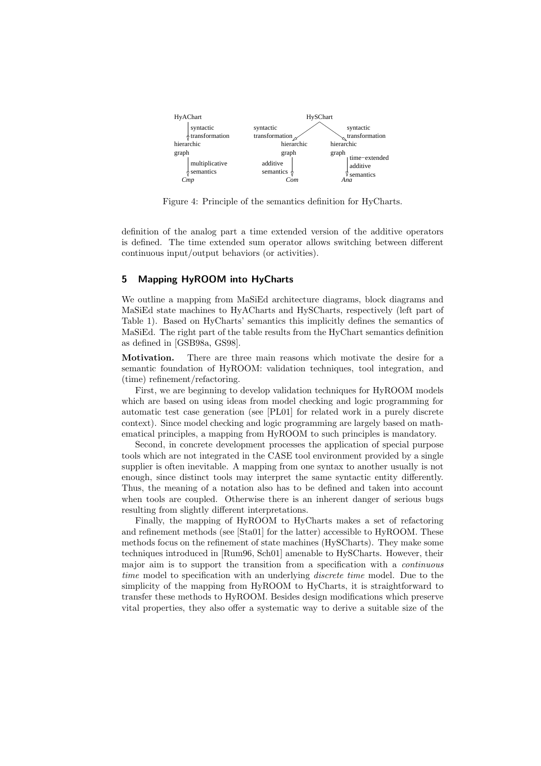

Figure 4: Principle of the semantics definition for HyCharts.

definition of the analog part a time extended version of the additive operators is defined. The time extended sum operator allows switching between different continuous input/output behaviors (or activities).

## 5 Mapping HyROOM into HyCharts

We outline a mapping from MaSiEd architecture diagrams, block diagrams and MaSiEd state machines to HyACharts and HySCharts, respectively (left part of Table 1). Based on HyCharts' semantics this implicitly defines the semantics of MaSiEd. The right part of the table results from the HyChart semantics definition as defined in [GSB98a, GS98].

Motivation. There are three main reasons which motivate the desire for a semantic foundation of HyROOM: validation techniques, tool integration, and (time) refinement/refactoring.

First, we are beginning to develop validation techniques for HyROOM models which are based on using ideas from model checking and logic programming for automatic test case generation (see [PL01] for related work in a purely discrete context). Since model checking and logic programming are largely based on mathematical principles, a mapping from HyROOM to such principles is mandatory.

Second, in concrete development processes the application of special purpose tools which are not integrated in the CASE tool environment provided by a single supplier is often inevitable. A mapping from one syntax to another usually is not enough, since distinct tools may interpret the same syntactic entity differently. Thus, the meaning of a notation also has to be defined and taken into account when tools are coupled. Otherwise there is an inherent danger of serious bugs resulting from slightly different interpretations.

Finally, the mapping of HyROOM to HyCharts makes a set of refactoring and refinement methods (see [Sta01] for the latter) accessible to HyROOM. These methods focus on the refinement of state machines (HySCharts). They make some techniques introduced in [Rum96, Sch01] amenable to HySCharts. However, their major aim is to support the transition from a specification with a continuous time model to specification with an underlying *discrete time* model. Due to the simplicity of the mapping from HyROOM to HyCharts, it is straightforward to transfer these methods to HyROOM. Besides design modifications which preserve vital properties, they also offer a systematic way to derive a suitable size of the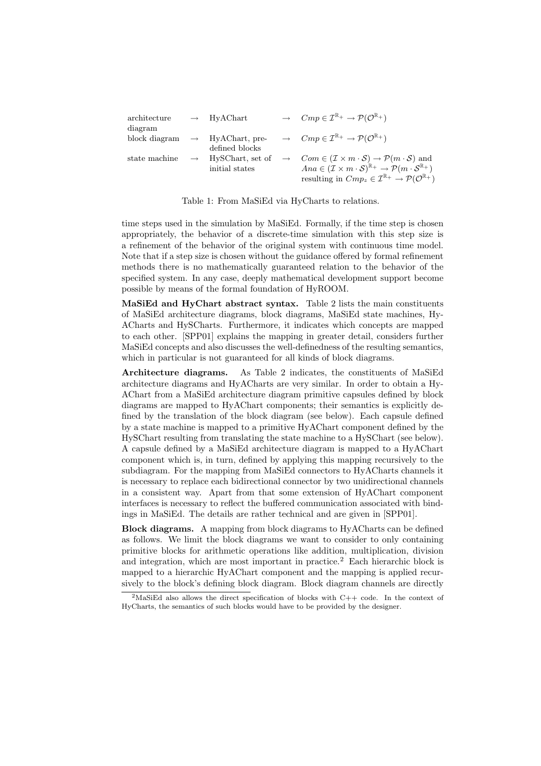| architecture  | $\rightarrow$ HyAChart                     | $\rightarrow$ $Cmp \in \mathcal{I}^{\mathbb{R}_+} \rightarrow \mathcal{P}(\mathcal{O}^{\mathbb{R}_+})$                                           |
|---------------|--------------------------------------------|--------------------------------------------------------------------------------------------------------------------------------------------------|
| diagram       |                                            |                                                                                                                                                  |
|               | block diagram $\rightarrow$ HyAChart, pre- | $\rightarrow$ $Cmp \in \mathcal{I}^{\mathbb{R}_+} \rightarrow \mathcal{P}(\mathcal{O}^{\mathbb{R}_+})$                                           |
|               | defined blocks                             |                                                                                                                                                  |
| state machine |                                            | $\rightarrow$ HySChart, set of $\rightarrow$ Com $\in (\mathcal{I} \times m \cdot \mathcal{S}) \rightarrow \mathcal{P}(m \cdot \mathcal{S})$ and |
|               | initial states                             | $Ana \in (\mathcal{I} \times m \cdot \mathcal{S})^{\mathbb{R}_+} \rightarrow \mathcal{P}(m \cdot \mathcal{S}^{\mathbb{R}_+})$                    |
|               |                                            | resulting in $Cmp_z \in \mathcal{I}^{\mathbb{R}_+} \to \mathcal{P}(\mathcal{O}^{\mathbb{R}_+})$                                                  |

Table 1: From MaSiEd via HyCharts to relations.

time steps used in the simulation by MaSiEd. Formally, if the time step is chosen appropriately, the behavior of a discrete-time simulation with this step size is a refinement of the behavior of the original system with continuous time model. Note that if a step size is chosen without the guidance offered by formal refinement methods there is no mathematically guaranteed relation to the behavior of the specified system. In any case, deeply mathematical development support become possible by means of the formal foundation of HyROOM.

MaSiEd and HyChart abstract syntax. Table 2 lists the main constituents of MaSiEd architecture diagrams, block diagrams, MaSiEd state machines, Hy-ACharts and HySCharts. Furthermore, it indicates which concepts are mapped to each other. [SPP01] explains the mapping in greater detail, considers further MaSiEd concepts and also discusses the well-definedness of the resulting semantics, which in particular is not guaranteed for all kinds of block diagrams.

Architecture diagrams. As Table 2 indicates, the constituents of MaSiEd architecture diagrams and HyACharts are very similar. In order to obtain a Hy-AChart from a MaSiEd architecture diagram primitive capsules defined by block diagrams are mapped to HyAChart components; their semantics is explicitly defined by the translation of the block diagram (see below). Each capsule defined by a state machine is mapped to a primitive HyAChart component defined by the HySChart resulting from translating the state machine to a HySChart (see below). A capsule defined by a MaSiEd architecture diagram is mapped to a HyAChart component which is, in turn, defined by applying this mapping recursively to the subdiagram. For the mapping from MaSiEd connectors to HyACharts channels it is necessary to replace each bidirectional connector by two unidirectional channels in a consistent way. Apart from that some extension of HyAChart component interfaces is necessary to reflect the buffered communication associated with bindings in MaSiEd. The details are rather technical and are given in [SPP01].

Block diagrams. A mapping from block diagrams to HyACharts can be defined as follows. We limit the block diagrams we want to consider to only containing primitive blocks for arithmetic operations like addition, multiplication, division and integration, which are most important in practice.<sup>2</sup> Each hierarchic block is mapped to a hierarchic HyAChart component and the mapping is applied recursively to the block's defining block diagram. Block diagram channels are directly

<sup>&</sup>lt;sup>2</sup>MaSiEd also allows the direct specification of blocks with  $C++$  code. In the context of HyCharts, the semantics of such blocks would have to be provided by the designer.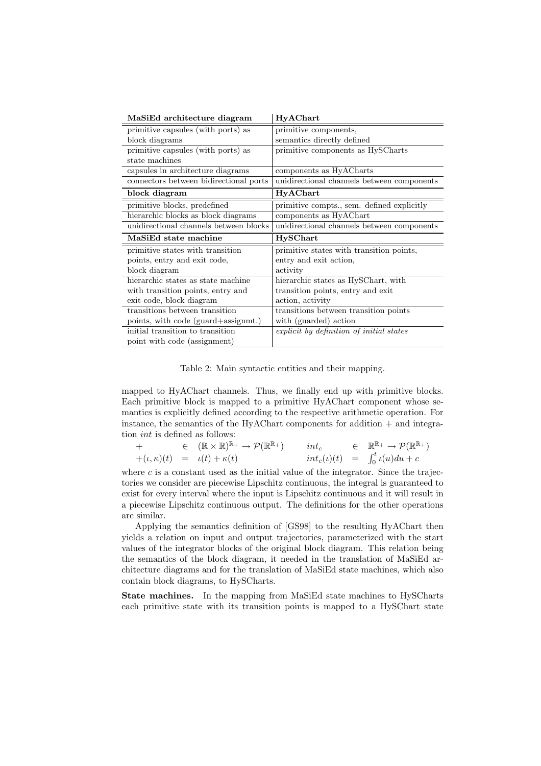| MaSiEd architecture diagram            | HyAChart                                   |  |
|----------------------------------------|--------------------------------------------|--|
| primitive capsules (with ports) as     | primitive components,                      |  |
| block diagrams                         | semantics directly defined                 |  |
| primitive capsules (with ports) as     | primitive components as HySCharts          |  |
| state machines                         |                                            |  |
| capsules in architecture diagrams      | components as HyACharts                    |  |
| connectors between bidirectional ports | unidirectional channels between components |  |
| block diagram                          | HyAChart                                   |  |
| primitive blocks, predefined           | primitive compts., sem. defined explicitly |  |
| hierarchic blocks as block diagrams    | components as HyAChart                     |  |
| unidirectional channels between blocks | unidirectional channels between components |  |
|                                        |                                            |  |
| MaSiEd state machine                   | <b>HySChart</b>                            |  |
| primitive states with transition       | primitive states with transition points,   |  |
| points, entry and exit code,           | entry and exit action,                     |  |
| block diagram                          | activity                                   |  |
| hierarchic states as state machine     | hierarchic states as HySChart, with        |  |
| with transition points, entry and      | transition points, entry and exit          |  |
| exit code, block diagram               | action, activity                           |  |
| transitions between transition         | transitions between transition points      |  |
| points, with code (guard+assignmt.)    | with (guarded) action                      |  |
| initial transition to transition       | explicit by definition of initial states   |  |

Table 2: Main syntactic entities and their mapping.

mapped to HyAChart channels. Thus, we finally end up with primitive blocks. Each primitive block is mapped to a primitive HyAChart component whose semantics is explicitly defined according to the respective arithmetic operation. For instance, the semantics of the HyAChart components for addition  $+$  and integration int is defined as follows:

$$
+ \in (\mathbb{R} \times \mathbb{R})^{\mathbb{R}_{+}} \to \mathcal{P}(\mathbb{R}^{\mathbb{R}_{+}}) \quad int_c \in \mathbb{R}^{\mathbb{R}_{+}} \to \mathcal{P}(\mathbb{R}^{\mathbb{R}_{+}}) + (\iota, \kappa)(t) = \iota(t) + \kappa(t) \quad int_c(\iota)(t) = \int_0^t \iota(u) du + c
$$

where  $c$  is a constant used as the initial value of the integrator. Since the trajectories we consider are piecewise Lipschitz continuous, the integral is guaranteed to exist for every interval where the input is Lipschitz continuous and it will result in a piecewise Lipschitz continuous output. The definitions for the other operations are similar.

Applying the semantics definition of [GS98] to the resulting HyAChart then yields a relation on input and output trajectories, parameterized with the start values of the integrator blocks of the original block diagram. This relation being the semantics of the block diagram, it needed in the translation of MaSiEd architecture diagrams and for the translation of MaSiEd state machines, which also contain block diagrams, to HySCharts.

State machines. In the mapping from MaSiEd state machines to HySCharts each primitive state with its transition points is mapped to a HySChart state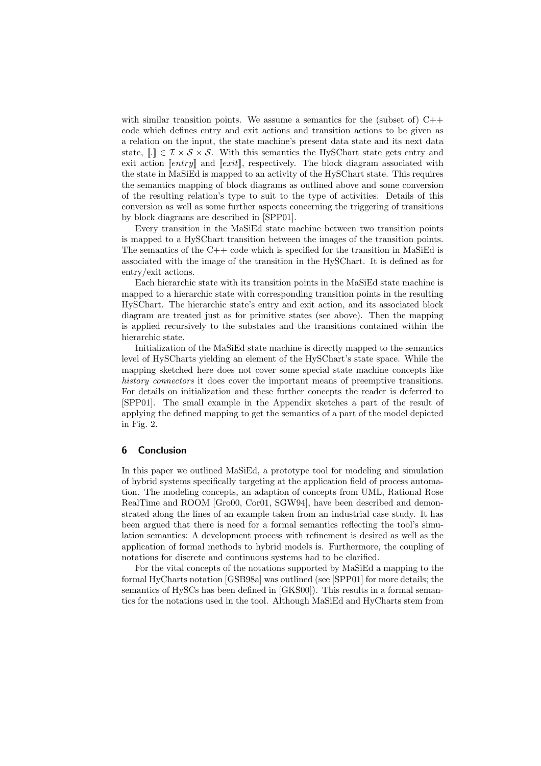with similar transition points. We assume a semantics for the (subset of)  $C++$ code which defines entry and exit actions and transition actions to be given as a relation on the input, the state machine's present data state and its next data state,  $\lbrack . \rbrack \rbrack \in \mathcal{I} \times \mathcal{S} \times \mathcal{S}$ . With this semantics the HySChart state gets entry and exit action  $[entry]$  and  $[exit]$ , respectively. The block diagram associated with the state in MaSiEd is mapped to an activity of the HySChart state. This requires the semantics mapping of block diagrams as outlined above and some conversion of the resulting relation's type to suit to the type of activities. Details of this conversion as well as some further aspects concerning the triggering of transitions by block diagrams are described in [SPP01].

Every transition in the MaSiEd state machine between two transition points is mapped to a HySChart transition between the images of the transition points. The semantics of the  $C++$  code which is specified for the transition in MaSiEd is associated with the image of the transition in the HySChart. It is defined as for entry/exit actions.

Each hierarchic state with its transition points in the MaSiEd state machine is mapped to a hierarchic state with corresponding transition points in the resulting HySChart. The hierarchic state's entry and exit action, and its associated block diagram are treated just as for primitive states (see above). Then the mapping is applied recursively to the substates and the transitions contained within the hierarchic state.

Initialization of the MaSiEd state machine is directly mapped to the semantics level of HySCharts yielding an element of the HySChart's state space. While the mapping sketched here does not cover some special state machine concepts like history connectors it does cover the important means of preemptive transitions. For details on initialization and these further concepts the reader is deferred to [SPP01]. The small example in the Appendix sketches a part of the result of applying the defined mapping to get the semantics of a part of the model depicted in Fig. 2.

#### 6 Conclusion

In this paper we outlined MaSiEd, a prototype tool for modeling and simulation of hybrid systems specifically targeting at the application field of process automation. The modeling concepts, an adaption of concepts from UML, Rational Rose RealTime and ROOM [Gro00, Cor01, SGW94], have been described and demonstrated along the lines of an example taken from an industrial case study. It has been argued that there is need for a formal semantics reflecting the tool's simulation semantics: A development process with refinement is desired as well as the application of formal methods to hybrid models is. Furthermore, the coupling of notations for discrete and continuous systems had to be clarified.

For the vital concepts of the notations supported by MaSiEd a mapping to the formal HyCharts notation [GSB98a] was outlined (see [SPP01] for more details; the semantics of HySCs has been defined in [GKS00]). This results in a formal semantics for the notations used in the tool. Although MaSiEd and HyCharts stem from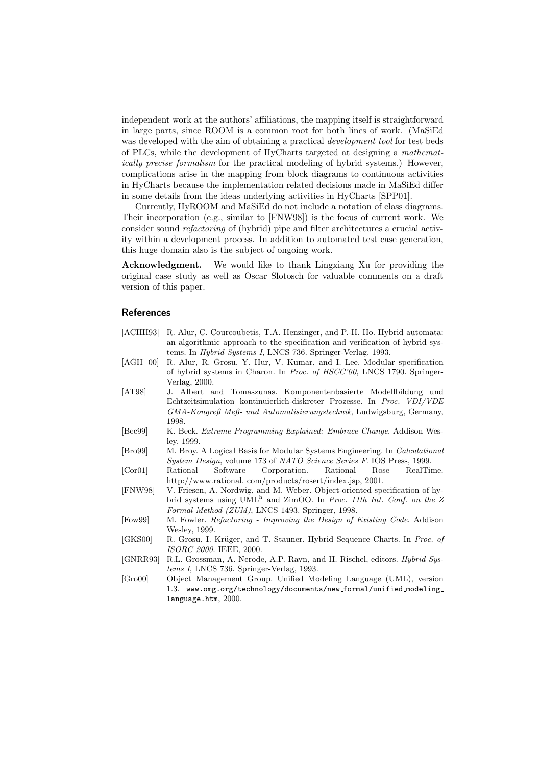independent work at the authors' affiliations, the mapping itself is straightforward in large parts, since ROOM is a common root for both lines of work. (MaSiEd was developed with the aim of obtaining a practical *development tool* for test beds of PLCs, while the development of HyCharts targeted at designing a mathematically precise formalism for the practical modeling of hybrid systems.) However, complications arise in the mapping from block diagrams to continuous activities in HyCharts because the implementation related decisions made in MaSiEd differ in some details from the ideas underlying activities in HyCharts [SPP01].

Currently, HyROOM and MaSiEd do not include a notation of class diagrams. Their incorporation (e.g., similar to [FNW98]) is the focus of current work. We consider sound refactoring of (hybrid) pipe and filter architectures a crucial activity within a development process. In addition to automated test case generation, this huge domain also is the subject of ongoing work.

Acknowledgment. We would like to thank Lingxiang Xu for providing the original case study as well as Oscar Slotosch for valuable comments on a draft version of this paper.

# References

- [ACHH93] R. Alur, C. Courcoubetis, T.A. Henzinger, and P.-H. Ho. Hybrid automata: an algorithmic approach to the specification and verification of hybrid systems. In Hybrid Systems I, LNCS 736. Springer-Verlag, 1993.
- [AGH<sup>+</sup>00] R. Alur, R. Grosu, Y. Hur, V. Kumar, and I. Lee. Modular specification of hybrid systems in Charon. In Proc. of HSCC'00, LNCS 1790. Springer-Verlag, 2000.
- [AT98] J. Albert and Tomaszunas. Komponentenbasierte Modellbildung und Echtzeitsimulation kontinuierlich-diskreter Prozesse. In Proc. VDI/VDE GMA-Kongreß Meß- und Automatisierungstechnik, Ludwigsburg, Germany, 1998.
- [Bec99] K. Beck. Extreme Programming Explained: Embrace Change. Addison Wesley, 1999.
- [Bro99] M. Broy. A Logical Basis for Modular Systems Engineering. In Calculational System Design, volume 173 of NATO Science Series F. IOS Press, 1999.
- [Cor01] Rational Software Corporation. Rational Rose RealTime. http://www.rational. com/products/rosert/index.jsp, 2001.
- [FNW98] V. Friesen, A. Nordwig, and M. Weber. Object-oriented specification of hybrid systems using  $UML^h$  and  $ZimOO$ . In *Proc. 11th Int. Conf. on the*  $Z$ Formal Method (ZUM), LNCS 1493. Springer, 1998.
- [Fow99] M. Fowler. Refactoring Improving the Design of Existing Code. Addison Wesley, 1999.
- [GKS00] R. Grosu, I. Krüger, and T. Stauner. Hybrid Sequence Charts. In Proc. of ISORC 2000. IEEE, 2000.
- [GNRR93] R.L. Grossman, A. Nerode, A.P. Ravn, and H. Rischel, editors. Hybrid Systems I, LNCS 736. Springer-Verlag, 1993.
- [Gro00] Object Management Group. Unified Modeling Language (UML), version 1.3. www.omg.org/technology/documents/new formal/unified modeling language.htm, 2000.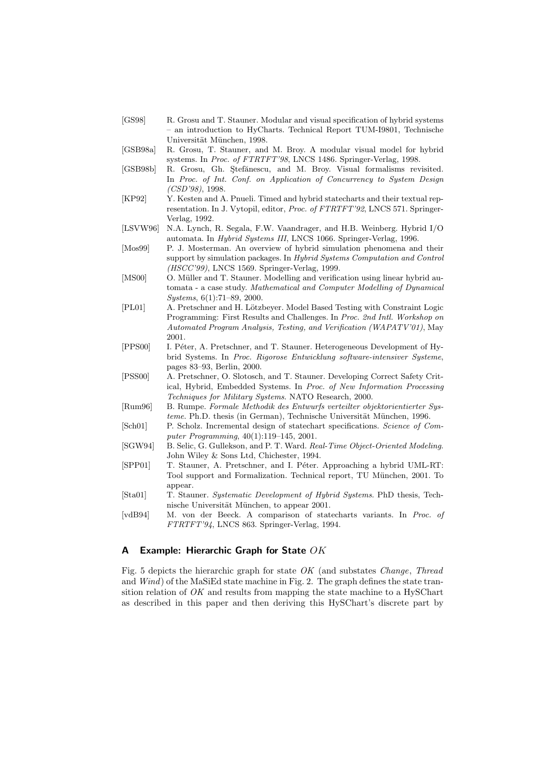- [GS98] R. Grosu and T. Stauner. Modular and visual specification of hybrid systems – an introduction to HyCharts. Technical Report TUM-I9801, Technische Universität München, 1998.
- [GSB98a] R. Grosu, T. Stauner, and M. Broy. A modular visual model for hybrid systems. In Proc. of FTRTFT'98, LNCS 1486. Springer-Verlag, 1998.
- [GSB98b] R. Grosu, Gh. Stefănescu, and M. Broy. Visual formalisms revisited. In Proc. of Int. Conf. on Application of Concurrency to System Design (CSD'98), 1998.
- [KP92] Y. Kesten and A. Pnueli. Timed and hybrid statecharts and their textual representation. In J. Vytopil, editor, Proc. of FTRTFT'92, LNCS 571. Springer-Verlag, 1992.
- [LSVW96] N.A. Lynch, R. Segala, F.W. Vaandrager, and H.B. Weinberg. Hybrid I/O automata. In Hybrid Systems III, LNCS 1066. Springer-Verlag, 1996.
- [Mos99] P. J. Mosterman. An overview of hybrid simulation phenomena and their support by simulation packages. In Hybrid Systems Computation and Control (HSCC'99), LNCS 1569. Springer-Verlag, 1999.
- [MS00] O. Müller and T. Stauner. Modelling and verification using linear hybrid automata - a case study. Mathematical and Computer Modelling of Dynamical Systems, 6(1):71–89, 2000.
- [PL01] A. Pretschner and H. Lötzbeyer. Model Based Testing with Constraint Logic Programming: First Results and Challenges. In Proc. 2nd Intl. Workshop on Automated Program Analysis, Testing, and Verification (WAPATV'01), May 2001.
- [PPS00] I. Péter, A. Pretschner, and T. Stauner. Heterogeneous Development of Hybrid Systems. In Proc. Rigorose Entwicklung software-intensiver Systeme, pages 83–93, Berlin, 2000.
- [PSS00] A. Pretschner, O. Slotosch, and T. Stauner. Developing Correct Safety Critical, Hybrid, Embedded Systems. In Proc. of New Information Processing Techniques for Military Systems. NATO Research, 2000.
- [Rum96] B. Rumpe. Formale Methodik des Entwurfs verteilter objektorientierter Sys $teme$ . Ph.D. thesis (in German), Technische Universität München, 1996.
- [Sch01] P. Scholz. Incremental design of statechart specifications. Science of Computer Programming, 40(1):119–145, 2001.
- [SGW94] B. Selic, G. Gullekson, and P. T. Ward. Real-Time Object-Oriented Modeling. John Wiley & Sons Ltd, Chichester, 1994.
- [SPP01] T. Stauner, A. Pretschner, and I. Péter. Approaching a hybrid UML-RT: Tool support and Formalization. Technical report, TU München, 2001. To appear.
- [Sta01] T. Stauner. Systematic Development of Hybrid Systems. PhD thesis, Technische Universität München, to appear 2001.
- [vdB94] M. von der Beeck. A comparison of statecharts variants. In Proc. of FTRTFT'94, LNCS 863. Springer-Verlag, 1994.

#### A Example: Hierarchic Graph for State  $OK$

Fig. 5 depicts the hierarchic graph for state OK (and substates Change, Thread and Wind) of the MaSiEd state machine in Fig. 2. The graph defines the state transition relation of  $OK$  and results from mapping the state machine to a HySChart as described in this paper and then deriving this HySChart's discrete part by